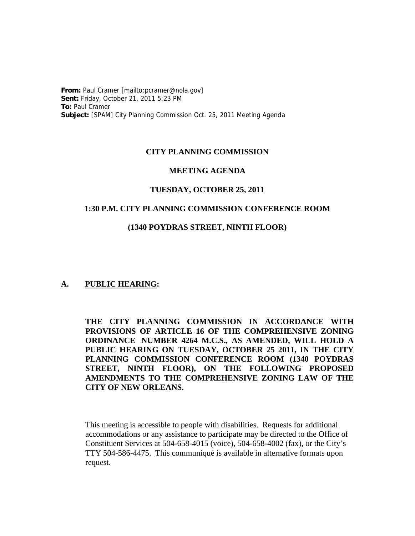**From:** Paul Cramer [mailto:pcramer@nola.gov] **Sent:** Friday, October 21, 2011 5:23 PM **To:** Paul Cramer **Subject:** [SPAM] City Planning Commission Oct. 25, 2011 Meeting Agenda

## **CITY PLANNING COMMISSION**

#### **MEETING AGENDA**

#### **TUESDAY, OCTOBER 25, 2011**

#### **1:30 P.M. CITY PLANNING COMMISSION CONFERENCE ROOM**

#### **(1340 POYDRAS STREET, NINTH FLOOR)**

### **A. PUBLIC HEARING:**

**THE CITY PLANNING COMMISSION IN ACCORDANCE WITH PROVISIONS OF ARTICLE 16 OF THE COMPREHENSIVE ZONING ORDINANCE NUMBER 4264 M.C.S., AS AMENDED, WILL HOLD A PUBLIC HEARING ON TUESDAY, OCTOBER 25 2011, IN THE CITY PLANNING COMMISSION CONFERENCE ROOM (1340 POYDRAS STREET, NINTH FLOOR), ON THE FOLLOWING PROPOSED AMENDMENTS TO THE COMPREHENSIVE ZONING LAW OF THE CITY OF NEW ORLEANS.**

This meeting is accessible to people with disabilities. Requests for additional accommodations or any assistance to participate may be directed to the Office of Constituent Services at 504-658-4015 (voice), 504-658-4002 (fax), or the City's TTY 504-586-4475. This communiqué is available in alternative formats upon request.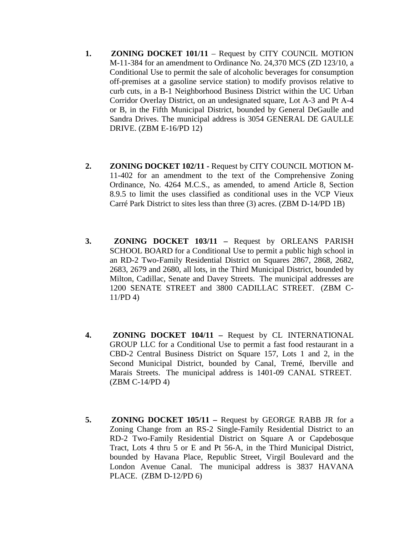- **1. ZONING DOCKET 101/11** Request by CITY COUNCIL MOTION M-11-384 for an amendment to Ordinance No. 24,370 MCS (ZD 123/10, a Conditional Use to permit the sale of alcoholic beverages for consumption off-premises at a gasoline service station) to modify provisos relative to curb cuts, in a B-1 Neighborhood Business District within the UC Urban Corridor Overlay District, on an undesignated square, Lot A-3 and Pt A-4 or B, in the Fifth Municipal District, bounded by General DeGaulle and Sandra Drives. The municipal address is 3054 GENERAL DE GAULLE DRIVE. (ZBM E-16/PD 12)
- **2. ZONING DOCKET 102/11 -** Request by CITY COUNCIL MOTION M-11-402 for an amendment to the text of the Comprehensive Zoning Ordinance, No. 4264 M.C.S., as amended, to amend Article 8, Section 8.9.5 to limit the uses classified as conditional uses in the VCP Vieux Carré Park District to sites less than three (3) acres. (ZBM D-14/PD 1B)
- **3. ZONING DOCKET 103/11 –** Request by ORLEANS PARISH SCHOOL BOARD for a Conditional Use to permit a public high school in an RD-2 Two-Family Residential District on Squares 2867, 2868, 2682, 2683, 2679 and 2680, all lots, in the Third Municipal District, bounded by Milton, Cadillac, Senate and Davey Streets. The municipal addresses are 1200 SENATE STREET and 3800 CADILLAC STREET. (ZBM C-11/PD 4)
- **4. ZONING DOCKET 104/11 –** Request by CL INTERNATIONAL GROUP LLC for a Conditional Use to permit a fast food restaurant in a CBD-2 Central Business District on Square 157, Lots 1 and 2, in the Second Municipal District, bounded by Canal, Tremé, Iberville and Marais Streets. The municipal address is 1401-09 CANAL STREET. (ZBM C-14/PD 4)
- **5. ZONING DOCKET 105/11 –** Request by GEORGE RABB JR for a Zoning Change from an RS-2 Single-Family Residential District to an RD-2 Two-Family Residential District on Square A or Capdebosque Tract, Lots 4 thru 5 or E and Pt 56-A, in the Third Municipal District, bounded by Havana Place, Republic Street, Virgil Boulevard and the London Avenue Canal. The municipal address is 3837 HAVANA PLACE. (ZBM D-12/PD 6)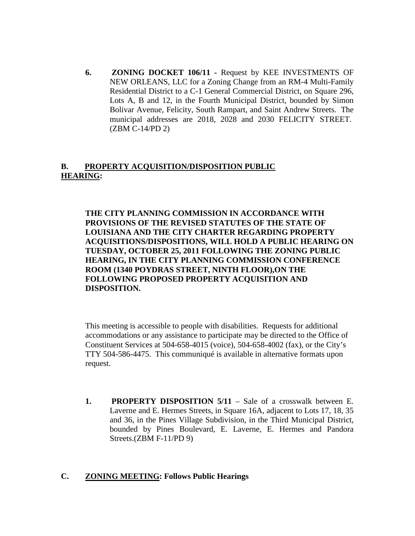**6. ZONING DOCKET 106/11 -** Request by KEE INVESTMENTS OF NEW ORLEANS, LLC for a Zoning Change from an RM-4 Multi-Family Residential District to a C-1 General Commercial District, on Square 296, Lots A, B and 12, in the Fourth Municipal District, bounded by Simon Bolivar Avenue, Felicity, South Rampart, and Saint Andrew Streets. The municipal addresses are 2018, 2028 and 2030 FELICITY STREET. (ZBM C-14/PD 2)

# **B. PROPERTY ACQUISITION/DISPOSITION PUBLIC HEARING:**

**THE CITY PLANNING COMMISSION IN ACCORDANCE WITH PROVISIONS OF THE REVISED STATUTES OF THE STATE OF LOUISIANA AND THE CITY CHARTER REGARDING PROPERTY ACQUISITIONS/DISPOSITIONS, WILL HOLD A PUBLIC HEARING ON TUESDAY, OCTOBER 25, 2011 FOLLOWING THE ZONING PUBLIC HEARING, IN THE CITY PLANNING COMMISSION CONFERENCE ROOM (1340 POYDRAS STREET, NINTH FLOOR),ON THE FOLLOWING PROPOSED PROPERTY ACQUISITION AND DISPOSITION.**

This meeting is accessible to people with disabilities. Requests for additional accommodations or any assistance to participate may be directed to the Office of Constituent Services at 504-658-4015 (voice), 504-658-4002 (fax), or the City's TTY 504-586-4475. This communiqué is available in alternative formats upon request.

**1. PROPERTY DISPOSITION 5/11** – Sale of a crosswalk between E. Laverne and E. Hermes Streets, in Square 16A, adjacent to Lots 17, 18, 35 and 36, in the Pines Village Subdivision, in the Third Municipal District, bounded by Pines Boulevard, E. Laverne, E. Hermes and Pandora Streets.(ZBM F-11/PD 9)

# **C. ZONING MEETING: Follows Public Hearings**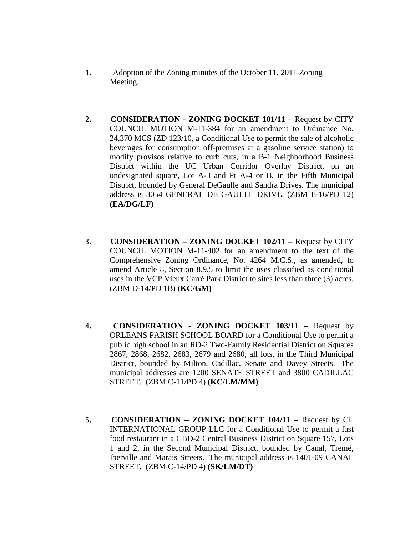- **1.** Adoption of the Zoning minutes of the October 11, 2011 Zoning Meeting.
- **2. CONSIDERATION ZONING DOCKET 101/11 –** Request by CITY COUNCIL MOTION M-11-384 for an amendment to Ordinance No. 24,370 MCS (ZD 123/10, a Conditional Use to permit the sale of alcoholic beverages for consumption off-premises at a gasoline service station) to modify provisos relative to curb cuts, in a B-1 Neighborhood Business District within the UC Urban Corridor Overlay District, on an undesignated square, Lot A-3 and Pt A-4 or B, in the Fifth Municipal District, bounded by General DeGaulle and Sandra Drives. The municipal address is 3054 GENERAL DE GAULLE DRIVE. (ZBM E-16/PD 12) **(EA/DG/LF)**
- **3. CONSIDERATION – ZONING DOCKET 102/11 –** Request by CITY COUNCIL MOTION M-11-402 for an amendment to the text of the Comprehensive Zoning Ordinance, No. 4264 M.C.S., as amended, to amend Article 8, Section 8.9.5 to limit the uses classified as conditional uses in the VCP Vieux Carré Park District to sites less than three (3) acres. (ZBM D-14/PD 1B) **(KC/GM)**
- **4. CONSIDERATION ZONING DOCKET 103/11 –** Request by ORLEANS PARISH SCHOOL BOARD for a Conditional Use to permit a public high school in an RD-2 Two-Family Residential District on Squares 2867, 2868, 2682, 2683, 2679 and 2680, all lots, in the Third Municipal District, bounded by Milton, Cadillac, Senate and Davey Streets. The municipal addresses are 1200 SENATE STREET and 3800 CADILLAC STREET. (ZBM C-11/PD 4) **(KC/LM/MM)**
- **5. CONSIDERATION – ZONING DOCKET 104/11 –** Request by CL INTERNATIONAL GROUP LLC for a Conditional Use to permit a fast food restaurant in a CBD-2 Central Business District on Square 157, Lots 1 and 2, in the Second Municipal District, bounded by Canal, Tremé, Iberville and Marais Streets. The municipal address is 1401-09 CANAL STREET. (ZBM C-14/PD 4) **(SK/LM/DT)**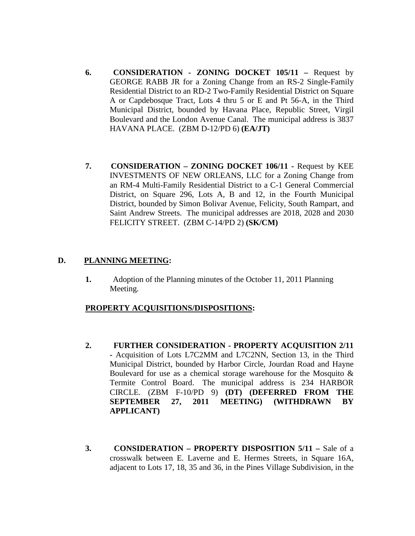- **6. CONSIDERATION ZONING DOCKET 105/11 –** Request by GEORGE RABB JR for a Zoning Change from an RS-2 Single-Family Residential District to an RD-2 Two-Family Residential District on Square A or Capdebosque Tract, Lots 4 thru 5 or E and Pt 56-A, in the Third Municipal District, bounded by Havana Place, Republic Street, Virgil Boulevard and the London Avenue Canal. The municipal address is 3837 HAVANA PLACE. (ZBM D-12/PD 6) **(EA/JT)**
- **7. CONSIDERATION – ZONING DOCKET 106/11 -** Request by KEE INVESTMENTS OF NEW ORLEANS, LLC for a Zoning Change from an RM-4 Multi-Family Residential District to a C-1 General Commercial District, on Square 296, Lots A, B and 12, in the Fourth Municipal District, bounded by Simon Bolivar Avenue, Felicity, South Rampart, and Saint Andrew Streets. The municipal addresses are 2018, 2028 and 2030 FELICITY STREET. (ZBM C-14/PD 2) **(SK/CM)**

## **D. PLANNING MEETING:**

**1.** Adoption of the Planning minutes of the October 11, 2011 Planning Meeting.

### **PROPERTY ACQUISITIONS/DISPOSITIONS:**

- **2. FURTHER CONSIDERATION PROPERTY ACQUISITION 2/11 -** Acquisition of Lots L7C2MM and L7C2NN, Section 13, in the Third Municipal District, bounded by Harbor Circle, Jourdan Road and Hayne Boulevard for use as a chemical storage warehouse for the Mosquito & Termite Control Board. The municipal address is 234 HARBOR CIRCLE. (ZBM F-10/PD 9) **(DT) (DEFERRED FROM THE SEPTEMBER 27, 2011 MEETING) (WITHDRAWN BY APPLICANT)**
- **3. CONSIDERATION – PROPERTY DISPOSITION 5/11 –** Sale of a crosswalk between E. Laverne and E. Hermes Streets, in Square 16A, adjacent to Lots 17, 18, 35 and 36, in the Pines Village Subdivision, in the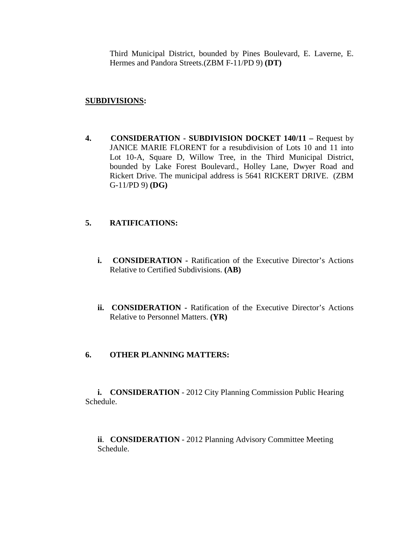Third Municipal District, bounded by Pines Boulevard, E. Laverne, E. Hermes and Pandora Streets.(ZBM F-11/PD 9) **(DT)**

## **SUBDIVISIONS:**

**4. CONSIDERATION - SUBDIVISION DOCKET 140/11 –** Request by JANICE MARIE FLORENT for a resubdivision of Lots 10 and 11 into Lot 10-A, Square D, Willow Tree, in the Third Municipal District, bounded by Lake Forest Boulevard., Holley Lane, Dwyer Road and Rickert Drive. The municipal address is 5641 RICKERT DRIVE. (ZBM G-11/PD 9) **(DG)**

# **5. RATIFICATIONS:**

- **i. CONSIDERATION -** Ratification of the Executive Director's Actions Relative to Certified Subdivisions. **(AB)**
- **ii. CONSIDERATION -** Ratification of the Executive Director's Actions Relative to Personnel Matters. **(YR)**

# **6. OTHER PLANNING MATTERS:**

**i. CONSIDERATION** - 2012 City Planning Commission Public Hearing Schedule.

**ii**. **CONSIDERATION** - 2012 Planning Advisory Committee Meeting Schedule.